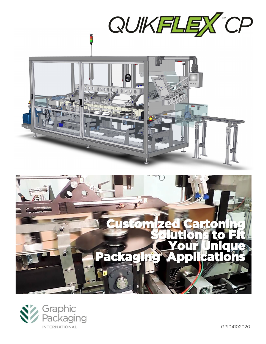



GPI04102020